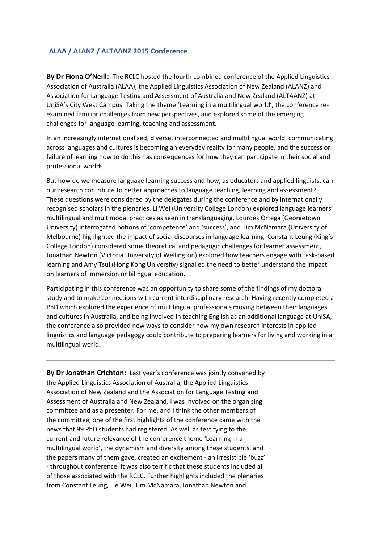## **ALAA / ALANZ / ALTAANZ 2015 Conference**

**By Dr Fiona O'Neill:** The RCLC hosted the fourth combined conference of the Applied Linguistics Association of Australia (ALAA), the Applied Linguistics Association of New Zealand (ALANZ) and Association for Language Testing and Assessment of Australia and New Zealand (ALTAANZ) at UniSA's City West Campus. Taking the theme 'Learning in a multilingual world', the conference reexamined familiar challenges from new perspectives, and explored some of the emerging challenges for language learning, teaching and assessment.

In an increasingly internationalised, diverse, interconnected and multilingual world, communicating across languages and cultures is becoming an everyday reality for many people, and the success or failure of learning how to do this has consequences for how they can participate in their social and professional worlds.

But how do we measure language learning success and how, as educators and applied linguists, can our research contribute to better approaches to language teaching, learning and assessment? These questions were considered by the delegates during the conference and by internationally recognised scholars in the plenaries. Li Wei (University College London) explored language learners' multilingual and multimodal practices as seen in translanguaging, Lourdes Ortega (Georgetown University) interrogated notions of 'competence' and 'success', and Tim McNamara (University of Melbourne) highlighted the impact of social discourses in language learning. Constant Leung (King's College London) considered some theoretical and pedagogic challenges for learner assessment, Jonathan Newton (Victoria University of Wellington) explored how teachers engage with task-based learning and Amy Tsui (Hong Kong University) signalled the need to better understand the impact on learners of immersion or bilingual education.

Participating in this conference was an opportunity to share some of the findings of my doctoral study and to make connections with current interdisciplinary research. Having recently completed a PhD which explored the experience of multilingual professionals moving between their languages and cultures in Australia, and being involved in teaching English as an additional language at UniSA, the conference also provided new ways to consider how my own research interests in applied linguistics and language pedagogy could contribute to preparing learners for living and working in a multilingual world.

**By Dr Jonathan Crichton:** Last year's conference was jointly convened by the Applied Linguistics Association of Australia, the Applied Linguistics Association of New Zealand and the Association for Language Testing and Assessment of Australia and New Zealand. I was involved on the organising committee and as a presenter. For me, and I think the other members of the committee, one of the first highlights of the conference came with the news that 99 PhD students had registered. As well as testifying to the current and future relevance of the conference theme 'Learning in a multilingual world', the dynamism and diversity among these students, and the papers many of them gave, created an excitement - an irresistible 'buzz' - throughout conference. It was also terrific that these students included all of those associated with the RCLC. Further highlights included the plenaries from Constant Leung, Lie Wei, Tim McNamara, Jonathan Newton and